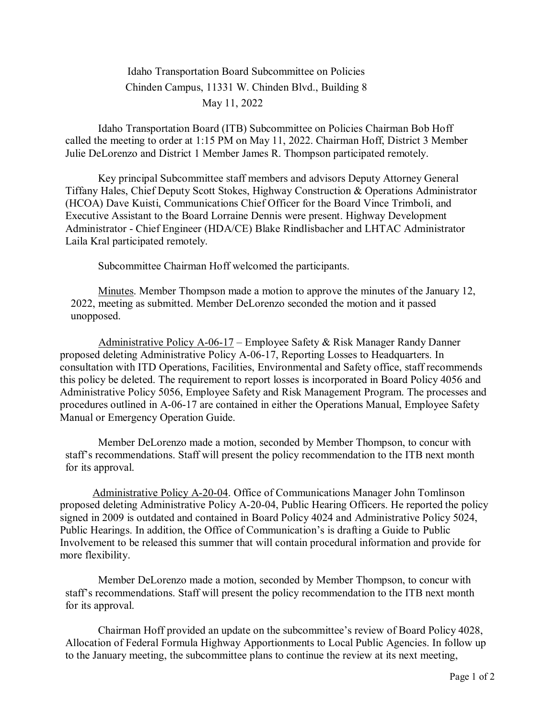## Idaho Transportation Board Subcommittee on Policies Chinden Campus, 11331 W. Chinden Blvd., Building 8 May 11, 2022

Idaho Transportation Board (ITB) Subcommittee on Policies Chairman Bob Hoff called the meeting to order at 1:15 PM on May 11, 2022. Chairman Hoff, District 3 Member Julie DeLorenzo and District 1 Member James R. Thompson participated remotely.

Key principal Subcommittee staff members and advisors Deputy Attorney General Tiffany Hales, Chief Deputy Scott Stokes, Highway Construction & Operations Administrator (HCOA) Dave Kuisti, Communications Chief Officer for the Board Vince Trimboli, and Executive Assistant to the Board Lorraine Dennis were present. Highway Development Administrator - Chief Engineer (HDA/CE) Blake Rindlisbacher and LHTAC Administrator Laila Kral participated remotely.

Subcommittee Chairman Hoff welcomed the participants.

Minutes. Member Thompson made a motion to approve the minutes of the January 12, 2022, meeting as submitted. Member DeLorenzo seconded the motion and it passed unopposed.

Administrative Policy A-06-17 – Employee Safety & Risk Manager Randy Danner proposed deleting Administrative Policy A-06-17, Reporting Losses to Headquarters. In consultation with ITD Operations, Facilities, Environmental and Safety office, staff recommends this policy be deleted. The requirement to report losses is incorporated in Board Policy 4056 and Administrative Policy 5056, Employee Safety and Risk Management Program. The processes and procedures outlined in A-06-17 are contained in either the Operations Manual, Employee Safety Manual or Emergency Operation Guide.

Member DeLorenzo made a motion, seconded by Member Thompson, to concur with staff's recommendations. Staff will present the policy recommendation to the ITB next month for its approval.

Administrative Policy A-20-04. Office of Communications Manager John Tomlinson proposed deleting Administrative Policy A-20-04, Public Hearing Officers. He reported the policy signed in 2009 is outdated and contained in Board Policy 4024 and Administrative Policy 5024, Public Hearings. In addition, the Office of Communication's is drafting a Guide to Public Involvement to be released this summer that will contain procedural information and provide for more flexibility.

Member DeLorenzo made a motion, seconded by Member Thompson, to concur with staff's recommendations. Staff will present the policy recommendation to the ITB next month for its approval.

Chairman Hoff provided an update on the subcommittee's review of Board Policy 4028, Allocation of Federal Formula Highway Apportionments to Local Public Agencies. In follow up to the January meeting, the subcommittee plans to continue the review at its next meeting,